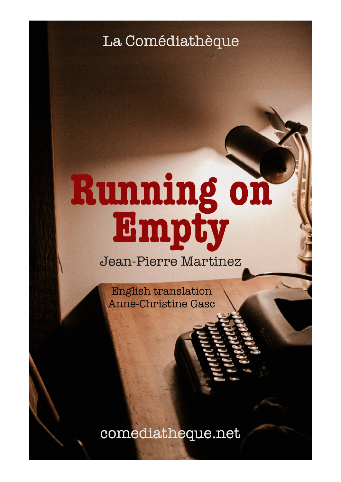La Comédiathèque

# Running on<br>Empty

Jean-Pierre Martinez

**English translation Anne-Christine Gasc** 

comediatheque.net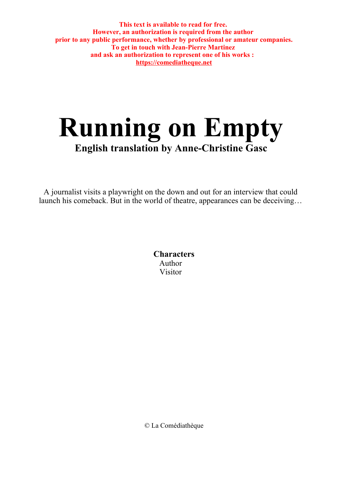**This text is available to read for free. However, an authorization is required from the author prior to any public performance, whether by professional or amateur companies. To get in touch with Jean-Pierre Martinez and ask an authorization to represent one of his works : https://comediatheque.net**

# **Running on Empty English translation by Anne-Christine Gasc**

A journalist visits a playwright on the down and out for an interview that could launch his comeback. But in the world of theatre, appearances can be deceiving…

> **Characters** Author Visitor

© La Comédiathèque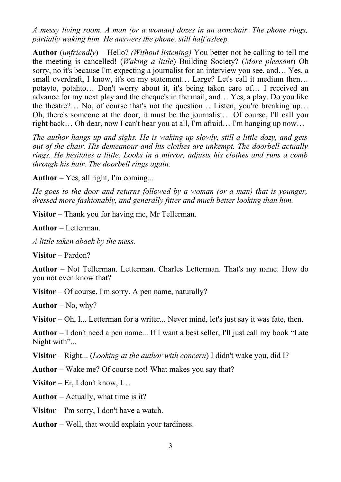*A messy living room. A man (or a woman) dozes in an armchair. The phone rings, partially waking him. He answers the phone, still half asleep.*

**Author** (*unfriendly*) – Hello? *(Without listening)* You better not be calling to tell me the meeting is cancelled! (*Waking a little*) Building Society? (*More pleasant*) Oh sorry, no it's because I'm expecting a journalist for an interview you see, and… Yes, a small overdraft, I know, it's on my statement... Large? Let's call it medium then... potayto, potahto… Don't worry about it, it's being taken care of… I received an advance for my next play and the cheque's in the mail, and… Yes, a play. Do you like the theatre?… No, of course that's not the question… Listen, you're breaking up… Oh, there's someone at the door, it must be the journalist… Of course, I'll call you right back… Oh dear, now I can't hear you at all, I'm afraid… I'm hanging up now…

*The author hangs up and sighs. He is waking up slowly, still a little dozy, and gets out of the chair. His demeanour and his clothes are unkempt. The doorbell actually rings. He hesitates a little. Looks in a mirror, adjusts his clothes and runs a comb through his hair. The doorbell rings again.*

**Author** – Yes, all right, I'm coming*...*

*He goes to the door and returns followed by a woman (or a man) that is younger, dressed more fashionably, and generally fitter and much better looking than him.* 

**Visitor** – Thank you for having me, Mr Tellerman.

**Author** – Letterman.

*A little taken aback by the mess.*

**Visitor** – Pardon?

**Author** – Not Tellerman. Letterman. Charles Letterman. That's my name. How do you not even know that?

**Visitor** – Of course, I'm sorry. A pen name, naturally?

**Author** – No, why?

**Visitor** – Oh, I... Letterman for a writer... Never mind, let's just say it was fate, then.

**Author** – I don't need a pen name... If I want a best seller, I'll just call my book "Late Night with"...

**Visitor** – Right... (*Looking at the author with concern*) I didn't wake you, did I?

**Author** – Wake me? Of course not! What makes you say that?

**Visitor** – Er, I don't know, I…

**Author** – Actually, what time is it?

**Visitor** – I'm sorry, I don't have a watch.

**Author** – Well, that would explain your tardiness.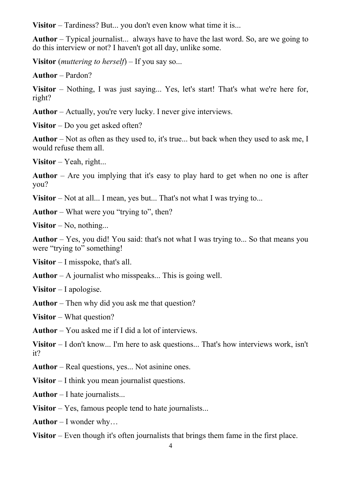**Visitor** – Tardiness? But... you don't even know what time it is...

**Author** – Typical journalist... always have to have the last word. So, are we going to do this interview or not? I haven't got all day, unlike some.

**Visitor** (*muttering to herself*) – If you say so...

**Author** – Pardon?

**Visitor** – Nothing, I was just saying... Yes, let's start! That's what we're here for, right?

**Author** – Actually, you're very lucky. I never give interviews.

**Visitor** – Do you get asked often?

**Author** – Not as often as they used to, it's true... but back when they used to ask me, I would refuse them all.

**Visitor** – Yeah, right...

**Author** – Are you implying that it's easy to play hard to get when no one is after you?

**Visitor** – Not at all... I mean, yes but... That's not what I was trying to...

**Author** – What were you "trying to", then?

**Visitor** – No, nothing...

**Author** – Yes, you did! You said: that's not what I was trying to... So that means you were "trying to" something!

**Visitor** – I misspoke, that's all.

**Author** – A journalist who misspeaks... This is going well.

**Visitor** – I apologise.

**Author** – Then why did you ask me that question?

**Visitor** – What question?

**Author** – You asked me if I did a lot of interviews.

**Visitor** – I don't know... I'm here to ask questions... That's how interviews work, isn't it?

**Author** – Real questions, yes... Not asinine ones.

**Visitor** – I think you mean journalist questions.

**Author** – I hate journalists...

**Visitor** – Yes, famous people tend to hate journalists...

**Author** – I wonder why…

**Visitor** – Even though it's often journalists that brings them fame in the first place.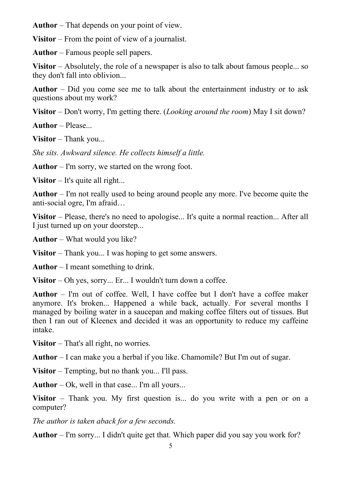**Author** – That depends on your point of view.

**Visitor** – From the point of view of a journalist.

**Author** – Famous people sell papers.

**Visitor** – Absolutely, the role of a newspaper is also to talk about famous people... so they don't fall into oblivion...

**Author** – Did you come see me to talk about the entertainment industry or to ask questions about my work?

**Visitor** – Don't worry, I'm getting there. (*Looking around the room*) May I sit down?

**Author** – Please...

**Visitor** – Thank you...

*She sits. Awkward silence. He collects himself a little.*

**Author** – I'm sorry, we started on the wrong foot.

**Visitor** – It's quite all right...

**Author** – I'm not really used to being around people any more. I've become quite the anti-social ogre, I'm afraid…

**Visitor** – Please, there's no need to apologise... It's quite a normal reaction... After all I just turned up on your doorstep...

**Author** – What would you like?

**Visitor** – Thank you... I was hoping to get some answers.

**Author** – I meant something to drink.

**Visitor** – Oh yes, sorry... Er... I wouldn't turn down a coffee.

**Author** – I'm out of coffee. Well, I have coffee but I don't have a coffee maker anymore. It's broken... Happened a while back, actually. For several months I managed by boiling water in a saucepan and making coffee filters out of tissues. But then I ran out of Kleenex and decided it was an opportunity to reduce my caffeine intake.

**Visitor** – That's all right, no worries.

**Author** – I can make you a herbal if you like. Chamomile? But I'm out of sugar.

**Visitor** – Tempting, but no thank you... I'll pass.

**Author** – Ok, well in that case... I'm all yours...

**Visitor** – Thank you. My first question is... do you write with a pen or on a computer?

*The author is taken aback for a few seconds.*

**Author** – I'm sorry... I didn't quite get that. Which paper did you say you work for?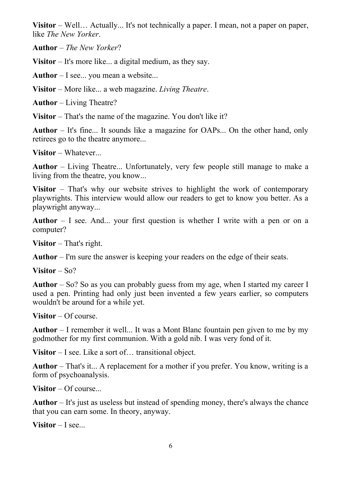**Visitor** – Well… Actually... It's not technically a paper. I mean, not a paper on paper, like *The New Yorker*.

**Author** – *The New Yorker*?

**Visitor** – It's more like... a digital medium, as they say.

**Author** – I see... you mean a website...

**Visitor** – More like... a web magazine. *Living Theatre*.

**Author** – Living Theatre?

**Visitor** – That's the name of the magazine. You don't like it?

**Author** – It's fine... It sounds like a magazine for OAPs... On the other hand, only retirees go to the theatre anymore...

**Visitor** – Whatever...

**Author** – Living Theatre... Unfortunately, very few people still manage to make a living from the theatre, you know...

**Visitor** – That's why our website strives to highlight the work of contemporary playwrights. This interview would allow our readers to get to know you better. As a playwright anyway...

**Author** – I see. And... your first question is whether I write with a pen or on a computer?

**Visitor** – That's right.

**Author** – I'm sure the answer is keeping your readers on the edge of their seats.

**Visitor** – So?

**Author** – So? So as you can probably guess from my age, when I started my career I used a pen. Printing had only just been invented a few years earlier, so computers wouldn't be around for a while yet.

**Visitor** – Of course.

**Author** – I remember it well... It was a Mont Blanc fountain pen given to me by my godmother for my first communion. With a gold nib. I was very fond of it.

**Visitor** – I see. Like a sort of… transitional object.

**Author** – That's it... A replacement for a mother if you prefer. You know, writing is a form of psychoanalysis.

**Visitor** – Of course...

**Author** – It's just as useless but instead of spending money, there's always the chance that you can earn some. In theory, anyway.

**Visitor** – I see...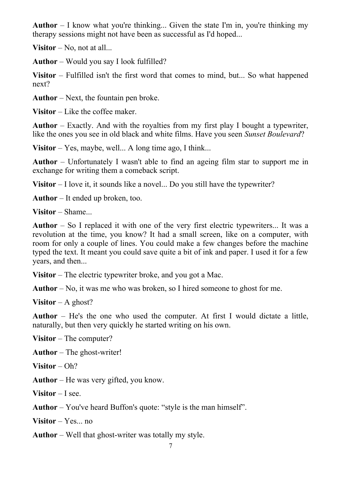**Author** – I know what you're thinking... Given the state I'm in, you're thinking my therapy sessions might not have been as successful as I'd hoped...

**Visitor** – No, not at all...

**Author** – Would you say I look fulfilled?

**Visitor** – Fulfilled isn't the first word that comes to mind, but... So what happened next?

**Author** – Next, the fountain pen broke.

**Visitor** – Like the coffee maker.

**Author** – Exactly. And with the royalties from my first play I bought a typewriter, like the ones you see in old black and white films. Have you seen *Sunset Boulevard*?

**Visitor** – Yes, maybe, well... A long time ago, I think...

**Author** – Unfortunately I wasn't able to find an ageing film star to support me in exchange for writing them a comeback script.

**Visitor** – I love it, it sounds like a novel... Do you still have the typewriter?

**Author** – It ended up broken, too.

**Visitor** – Shame...

**Author** – So I replaced it with one of the very first electric typewriters... It was a revolution at the time, you know? It had a small screen, like on a computer, with room for only a couple of lines. You could make a few changes before the machine typed the text. It meant you could save quite a bit of ink and paper. I used it for a few years, and then...

**Visitor** – The electric typewriter broke, and you got a Mac.

**Author** – No, it was me who was broken, so I hired someone to ghost for me.

**Visitor** – A ghost?

**Author** – He's the one who used the computer. At first I would dictate a little, naturally, but then very quickly he started writing on his own.

**Visitor** – The computer?

**Author** – The ghost-writer!

**Visitor** – Oh?

**Author** – He was very gifted, you know.

**Visitor** – I see.

**Author** – You've heard Buffon's quote: "style is the man himself".

**Visitor** – Yes... no

**Author** – Well that ghost-writer was totally my style.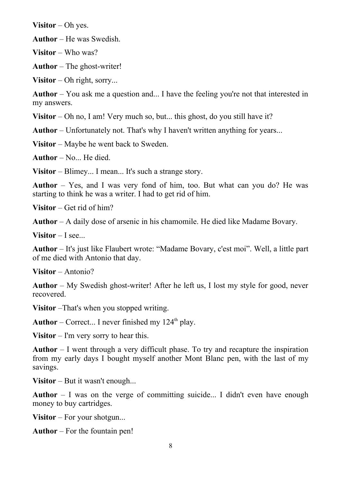**Visitor** – Oh yes.

**Author** – He was Swedish.

**Visitor** – Who was?

**Author** – The ghost-writer!

**Visitor** – Oh right, sorry...

**Author** – You ask me a question and... I have the feeling you're not that interested in my answers.

**Visitor** – Oh no, I am! Very much so, but... this ghost, do you still have it?

**Author** – Unfortunately not. That's why I haven't written anything for years...

**Visitor** – Maybe he went back to Sweden.

**Author** – No... He died.

**Visitor** – Blimey... I mean... It's such a strange story.

**Author** – Yes, and I was very fond of him, too. But what can you do? He was starting to think he was a writer. I had to get rid of him.

**Visitor** – Get rid of him?

**Author** – A daily dose of arsenic in his chamomile. He died like Madame Bovary.

**Visitor** – I see...

**Author** – It's just like Flaubert wrote: "Madame Bovary, c'est moi". Well, a little part of me died with Antonio that day.

**Visitor** – Antonio?

**Author** – My Swedish ghost-writer! After he left us, I lost my style for good, never recovered.

**Visitor** –That's when you stopped writing.

**Author** – Correct... I never finished my  $124<sup>th</sup>$  play.

**Visitor** – I'm very sorry to hear this.

**Author** – I went through a very difficult phase. To try and recapture the inspiration from my early days I bought myself another Mont Blanc pen, with the last of my savings.

**Visitor** – But it wasn't enough...

**Author** – I was on the verge of committing suicide... I didn't even have enough money to buy cartridges.

**Visitor** – For your shotgun...

**Author** – For the fountain pen!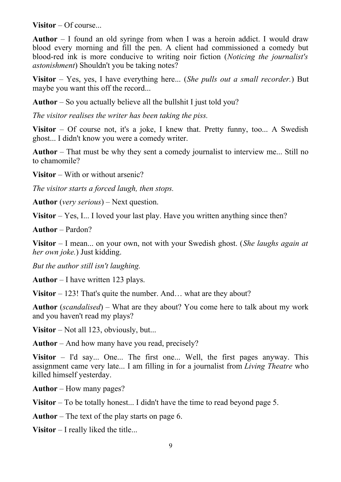**Visitor** – Of course...

**Author** – I found an old syringe from when I was a heroin addict. I would draw blood every morning and fill the pen. A client had commissioned a comedy but blood-red ink is more conducive to writing noir fiction (*Noticing the journalist's astonishment*) Shouldn't you be taking notes?

**Visitor** – Yes, yes, I have everything here... (*She pulls out a small recorder.*) But maybe you want this off the record...

**Author** – So you actually believe all the bullshit I just told you?

*The visitor realises the writer has been taking the piss.*

**Visitor** – Of course not, it's a joke, I knew that. Pretty funny, too... A Swedish ghost... I didn't know you were a comedy writer.

**Author** – That must be why they sent a comedy journalist to interview me... Still no to chamomile?

**Visitor** – With or without arsenic?

*The visitor starts a forced laugh, then stops.*

**Author** (*very serious*) – Next question.

**Visitor** – Yes, I... I loved your last play. Have you written anything since then?

**Author** – Pardon?

**Visitor** – I mean... on your own, not with your Swedish ghost. (*She laughs again at her own joke.*) Just kidding.

*But the author still isn't laughing.*

**Author** – I have written 123 plays.

**Visitor** – 123! That's quite the number. And... what are they about?

**Author** (*scandalised*) – What are they about? You come here to talk about my work and you haven't read my plays?

**Visitor** – Not all 123, obviously, but...

**Author** – And how many have you read, precisely?

**Visitor** – I'd say... One... The first one... Well, the first pages anyway. This assignment came very late... I am filling in for a journalist from *Living Theatre* who killed himself yesterday.

**Author** – How many pages?

**Visitor** – To be totally honest... I didn't have the time to read beyond page 5.

**Author** – The text of the play starts on page 6.

**Visitor** – I really liked the title...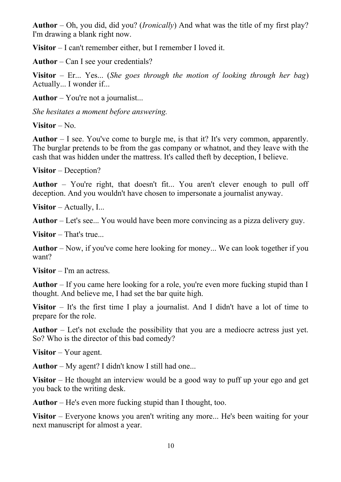**Author** – Oh, you did, did you? (*Ironically*) And what was the title of my first play? I'm drawing a blank right now.

**Visitor** – I can't remember either, but I remember I loved it.

**Author** – Can I see your credentials?

**Visitor** – Er... Yes... (*She goes through the motion of looking through her bag*) Actually... I wonder if...

**Author** – You're not a journalist...

*She hesitates a moment before answering.*

**Visitor** – No.

**Author** – I see. You've come to burgle me, is that it? It's very common, apparently. The burglar pretends to be from the gas company or whatnot, and they leave with the cash that was hidden under the mattress. It's called theft by deception, I believe.

**Visitor** – Deception?

**Author** – You're right, that doesn't fit... You aren't clever enough to pull off deception. And you wouldn't have chosen to impersonate a journalist anyway.

**Visitor** – Actually, I...

**Author** – Let's see... You would have been more convincing as a pizza delivery guy.

**Visitor** – That's true...

**Author** – Now, if you've come here looking for money... We can look together if you want?

**Visitor** – I'm an actress.

**Author** – If you came here looking for a role, you're even more fucking stupid than I thought. And believe me, I had set the bar quite high.

**Visitor** – It's the first time I play a journalist. And I didn't have a lot of time to prepare for the role.

**Author** – Let's not exclude the possibility that you are a mediocre actress just yet. So? Who is the director of this bad comedy?

**Visitor** – Your agent.

**Author** – My agent? I didn't know I still had one...

**Visitor** – He thought an interview would be a good way to puff up your ego and get you back to the writing desk.

**Author** – He's even more fucking stupid than I thought, too.

**Visitor** – Everyone knows you aren't writing any more... He's been waiting for your next manuscript for almost a year.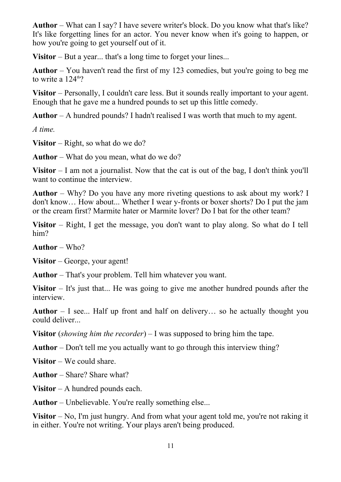**Author** – What can I say? I have severe writer's block. Do you know what that's like? It's like forgetting lines for an actor. You never know when it's going to happen, or how you're going to get yourself out of it.

**Visitor** – But a year... that's a long time to forget your lines...

**Author** – You haven't read the first of my 123 comedies, but you're going to beg me to write a  $124<sup>th</sup>$ ?

**Visitor** – Personally, I couldn't care less. But it sounds really important to your agent. Enough that he gave me a hundred pounds to set up this little comedy.

**Author** – A hundred pounds? I hadn't realised I was worth that much to my agent.

*A time.*

**Visitor** – Right, so what do we do?

**Author** – What do you mean, what do we do?

**Visitor** – I am not a journalist. Now that the cat is out of the bag, I don't think you'll want to continue the interview.

**Author** – Why? Do you have any more riveting questions to ask about my work? I don't know… How about... Whether I wear y-fronts or boxer shorts? Do I put the jam or the cream first? Marmite hater or Marmite lover? Do I bat for the other team?

**Visitor** – Right, I get the message, you don't want to play along. So what do I tell him?

**Author** – Who?

**Visitor** – George, your agent!

**Author** – That's your problem. Tell him whatever you want.

**Visitor** – It's just that... He was going to give me another hundred pounds after the interview.

**Author** – I see... Half up front and half on delivery… so he actually thought you could deliver...

**Visitor** (*showing him the recorder*) – I was supposed to bring him the tape.

**Author** – Don't tell me you actually want to go through this interview thing?

**Visitor** – We could share.

**Author** – Share? Share what?

**Visitor** – A hundred pounds each.

**Author** – Unbelievable. You're really something else...

**Visitor** – No, I'm just hungry. And from what your agent told me, you're not raking it in either. You're not writing. Your plays aren't being produced.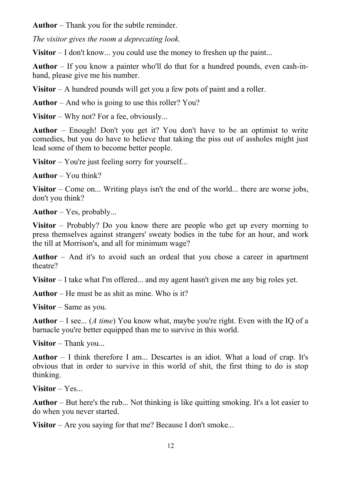**Author** – Thank you for the subtle reminder.

*The visitor gives the room a deprecating look.* 

**Visitor** – I don't know... you could use the money to freshen up the paint...

**Author** – If you know a painter who'll do that for a hundred pounds, even cash-inhand, please give me his number.

**Visitor** – A hundred pounds will get you a few pots of paint and a roller.

**Author** – And who is going to use this roller? You?

**Visitor** – Why not? For a fee, obviously...

**Author** – Enough! Don't you get it? You don't have to be an optimist to write comedies, but you do have to believe that taking the piss out of assholes might just lead some of them to become better people.

**Visitor** – You're just feeling sorry for yourself...

**Author** – You think?

**Visitor** – Come on... Writing plays isn't the end of the world... there are worse jobs, don't you think?

**Author** – Yes, probably...

**Visitor** – Probably? Do you know there are people who get up every morning to press themselves against strangers' sweaty bodies in the tube for an hour, and work the till at Morrison's, and all for minimum wage?

**Author** – And it's to avoid such an ordeal that you chose a career in apartment theatre?

**Visitor** – I take what I'm offered... and my agent hasn't given me any big roles yet.

**Author** – He must be as shit as mine. Who is it?

**Visitor** – Same as you.

**Author** – I see... (*A time*) You know what, maybe you're right. Even with the IQ of a barnacle you're better equipped than me to survive in this world.

**Visitor** – Thank you...

**Author** – I think therefore I am... Descartes is an idiot. What a load of crap. It's obvious that in order to survive in this world of shit, the first thing to do is stop thinking.

**Visitor** – Yes...

**Author** – But here's the rub... Not thinking is like quitting smoking. It's a lot easier to do when you never started.

**Visitor** – Are you saying for that me? Because I don't smoke...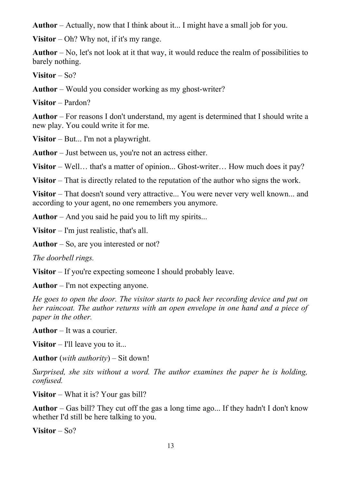**Author** – Actually, now that I think about it... I might have a small job for you.

**Visitor** – Oh? Why not, if it's my range.

**Author** – No, let's not look at it that way, it would reduce the realm of possibilities to barely nothing.

**Visitor** – So?

**Author** – Would you consider working as my ghost-writer?

**Visitor** – Pardon?

**Author** – For reasons I don't understand, my agent is determined that I should write a new play. You could write it for me.

**Visitor** – But... I'm not a playwright.

**Author** – Just between us, you're not an actress either.

**Visitor** – Well... that's a matter of opinion... Ghost-writer... How much does it pay?

**Visitor** – That is directly related to the reputation of the author who signs the work.

**Visitor** – That doesn't sound very attractive... You were never very well known... and according to your agent, no one remembers you anymore.

**Author** – And you said he paid you to lift my spirits...

**Visitor** – I'm just realistic, that's all.

**Author** – So, are you interested or not?

*The doorbell rings.*

**Visitor** – If you're expecting someone I should probably leave.

**Author** – I'm not expecting anyone.

*He goes to open the door. The visitor starts to pack her recording device and put on her raincoat. The author returns with an open envelope in one hand and a piece of paper in the other.*

**Author** – It was a courier.

**Visitor** – I'll leave you to it...

**Author** (*with authority*) – Sit down!

*Surprised, she sits without a word. The author examines the paper he is holding, confused.*

**Visitor** – What it is? Your gas bill?

**Author** – Gas bill? They cut off the gas a long time ago... If they hadn't I don't know whether I'd still be here talking to you.

**Visitor** – So?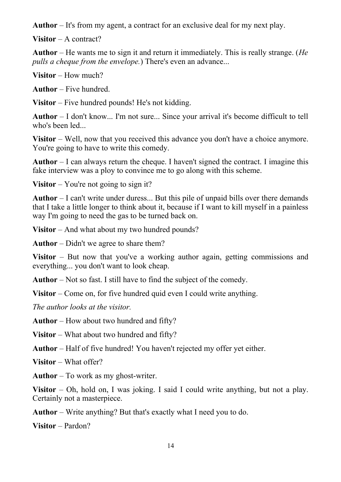**Author** – It's from my agent, a contract for an exclusive deal for my next play.

**Visitor** – A contract?

**Author** – He wants me to sign it and return it immediately. This is really strange. (*He pulls a cheque from the envelope.*) There's even an advance...

**Visitor** – How much?

**Author** – Five hundred.

**Visitor** – Five hundred pounds! He's not kidding.

**Author** – I don't know... I'm not sure... Since your arrival it's become difficult to tell who's been led...

**Visitor** – Well, now that you received this advance you don't have a choice anymore. You're going to have to write this comedy.

**Author** – I can always return the cheque. I haven't signed the contract. I imagine this fake interview was a ploy to convince me to go along with this scheme.

**Visitor** – You're not going to sign it?

**Author** – I can't write under duress... But this pile of unpaid bills over there demands that I take a little longer to think about it, because if I want to kill myself in a painless way I'm going to need the gas to be turned back on.

**Visitor** – And what about my two hundred pounds?

**Author** – Didn't we agree to share them?

**Visitor** – But now that you've a working author again, getting commissions and everything... you don't want to look cheap.

**Author** – Not so fast. I still have to find the subject of the comedy.

**Visitor** – Come on, for five hundred quid even I could write anything.

*The author looks at the visitor.*

**Author** – How about two hundred and fifty?

**Visitor** – What about two hundred and fifty?

**Author** – Half of five hundred! You haven't rejected my offer yet either.

**Visitor** – What offer?

**Author** – To work as my ghost-writer.

**Visitor** – Oh, hold on, I was joking. I said I could write anything, but not a play. Certainly not a masterpiece.

**Author** – Write anything? But that's exactly what I need you to do.

**Visitor** – Pardon?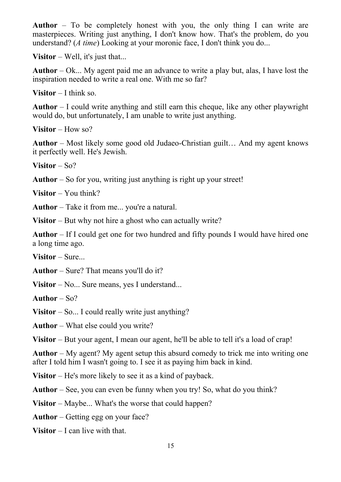**Author** – To be completely honest with you, the only thing I can write are masterpieces. Writing just anything, I don't know how. That's the problem, do you understand? (*A time*) Looking at your moronic face, I don't think you do...

**Visitor** – Well, it's just that...

**Author** – Ok... My agent paid me an advance to write a play but, alas, I have lost the inspiration needed to write a real one. With me so far?

**Visitor** – I think so.

**Author** – I could write anything and still earn this cheque, like any other playwright would do, but unfortunately, I am unable to write just anything.

**Visitor** – How so?

**Author** – Most likely some good old Judaeo-Christian guilt… And my agent knows it perfectly well. He's Jewish.

**Visitor** – So?

**Author** – So for you, writing just anything is right up your street!

**Visitor** – You think?

**Author** – Take it from me... you're a natural.

**Visitor** – But why not hire a ghost who can actually write?

**Author** – If I could get one for two hundred and fifty pounds I would have hired one a long time ago.

**Visitor** – Sure...

**Author** – Sure? That means you'll do it?

**Visitor** – No... Sure means, yes I understand...

**Author** – So?

**Visitor** – So... I could really write just anything?

**Author** – What else could you write?

**Visitor** – But your agent, I mean our agent, he'll be able to tell it's a load of crap!

**Author** – My agent? My agent setup this absurd comedy to trick me into writing one after I told him I wasn't going to. I see it as paying him back in kind.

**Visitor** – He's more likely to see it as a kind of payback.

**Author** – See, you can even be funny when you try! So, what do you think?

**Visitor** – Maybe... What's the worse that could happen?

**Author** – Getting egg on your face?

**Visitor** – I can live with that.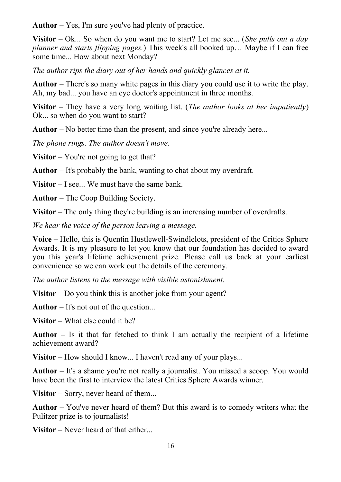**Author** – Yes, I'm sure you've had plenty of practice.

**Visitor** – Ok... So when do you want me to start? Let me see... (*She pulls out a day planner and starts flipping pages.*) This week's all booked up… Maybe if I can free some time... How about next Monday?

*The author rips the diary out of her hands and quickly glances at it.*

**Author** – There's so many white pages in this diary you could use it to write the play. Ah, my bad... you have an eye doctor's appointment in three months.

**Visitor** – They have a very long waiting list. (*The author looks at her impatiently*) Ok... so when do you want to start?

**Author** – No better time than the present, and since you're already here...

*The phone rings. The author doesn't move.*

**Visitor** – You're not going to get that?

**Author** – It's probably the bank, wanting to chat about my overdraft.

**Visitor** – I see... We must have the same bank.

**Author** – The Coop Building Society.

**Visitor** – The only thing they're building is an increasing number of overdrafts.

*We hear the voice of the person leaving a message.*

**Voice** – Hello, this is Quentin Hustlewell-Swindlelots, president of the Critics Sphere Awards. It is my pleasure to let you know that our foundation has decided to award you this year's lifetime achievement prize. Please call us back at your earliest convenience so we can work out the details of the ceremony.

*The author listens to the message with visible astonishment.*

**Visitor** – Do you think this is another joke from your agent?

**Author** – It's not out of the question...

**Visitor** – What else could it be?

**Author** – Is it that far fetched to think I am actually the recipient of a lifetime achievement award?

**Visitor** – How should I know... I haven't read any of your plays...

**Author** – It's a shame you're not really a journalist. You missed a scoop. You would have been the first to interview the latest Critics Sphere Awards winner.

**Visitor** – Sorry, never heard of them...

**Author** – You've never heard of them? But this award is to comedy writers what the Pulitzer prize is to journalists!

**Visitor** – Never heard of that either...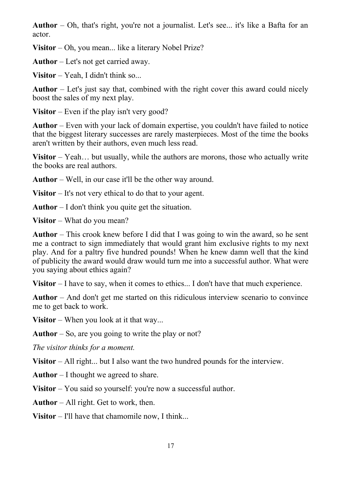**Author** – Oh, that's right, you're not a journalist. Let's see... it's like a Bafta for an actor.

**Visitor** – Oh, you mean... like a literary Nobel Prize?

**Author** – Let's not get carried away.

**Visitor** – Yeah, I didn't think so...

**Author** – Let's just say that, combined with the right cover this award could nicely boost the sales of my next play.

**Visitor** – Even if the play isn't very good?

**Author** – Even with your lack of domain expertise, you couldn't have failed to notice that the biggest literary successes are rarely masterpieces. Most of the time the books aren't written by their authors, even much less read.

**Visitor** – Yeah… but usually, while the authors are morons, those who actually write the books are real authors.

**Author** – Well, in our case it'll be the other way around.

**Visitor** – It's not very ethical to do that to your agent.

**Author** – I don't think you quite get the situation.

**Visitor** – What do you mean?

**Author** – This crook knew before I did that I was going to win the award, so he sent me a contract to sign immediately that would grant him exclusive rights to my next play. And for a paltry five hundred pounds! When he knew damn well that the kind of publicity the award would draw would turn me into a successful author. What were you saying about ethics again?

**Visitor** – I have to say, when it comes to ethics... I don't have that much experience.

**Author** – And don't get me started on this ridiculous interview scenario to convince me to get back to work.

**Visitor** – When you look at it that way...

**Author** – So, are you going to write the play or not?

*The visitor thinks for a moment.*

**Visitor** – All right... but I also want the two hundred pounds for the interview.

**Author** – I thought we agreed to share.

**Visitor** – You said so yourself: you're now a successful author.

**Author** – All right. Get to work, then.

**Visitor** – I'll have that chamomile now, I think...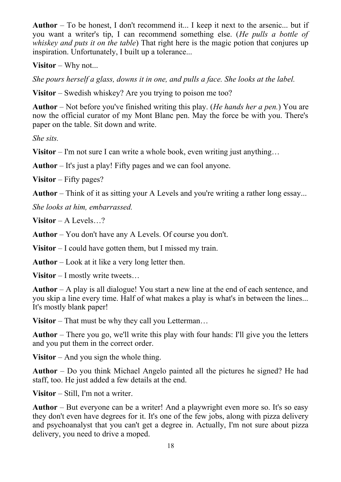**Author** – To be honest, I don't recommend it... I keep it next to the arsenic... but if you want a writer's tip, I can recommend something else. (*He pulls a bottle of whiskey and puts it on the table*) That right here is the magic potion that conjures up inspiration. Unfortunately, I built up a tolerance...

**Visitor** – Why not...

*She pours herself a glass, downs it in one, and pulls a face. She looks at the label.*

**Visitor** – Swedish whiskey? Are you trying to poison me too?

**Author** – Not before you've finished writing this play. (*He hands her a pen.*) You are now the official curator of my Mont Blanc pen. May the force be with you. There's paper on the table. Sit down and write.

*She sits.*

**Visitor** – I'm not sure I can write a whole book, even writing just anything...

**Author** – It's just a play! Fifty pages and we can fool anyone.

**Visitor** – Fifty pages?

**Author** – Think of it as sitting your A Levels and you're writing a rather long essay...

*She looks at him, embarrassed.*

**Visitor** – A Levels…?

**Author** – You don't have any A Levels. Of course you don't.

**Visitor** – I could have gotten them, but I missed my train.

**Author** – Look at it like a very long letter then.

**Visitor** – I mostly write tweets…

**Author** – A play is all dialogue! You start a new line at the end of each sentence, and you skip a line every time. Half of what makes a play is what's in between the lines... It's mostly blank paper!

**Visitor** – That must be why they call you Letterman…

**Author** – There you go, we'll write this play with four hands: I'll give you the letters and you put them in the correct order.

**Visitor** – And you sign the whole thing.

**Author** – Do you think Michael Angelo painted all the pictures he signed? He had staff, too. He just added a few details at the end.

**Visitor** – Still, I'm not a writer.

**Author** – But everyone can be a writer! And a playwright even more so. It's so easy they don't even have degrees for it. It's one of the few jobs, along with pizza delivery and psychoanalyst that you can't get a degree in. Actually, I'm not sure about pizza delivery, you need to drive a moped.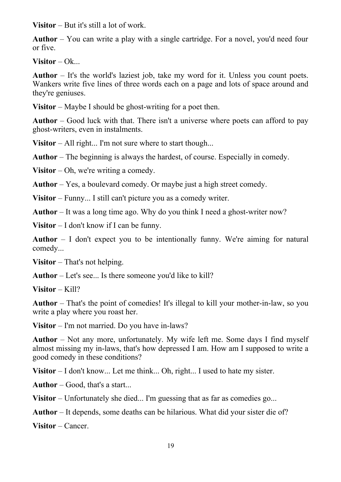**Visitor** – But it's still a lot of work.

**Author** – You can write a play with a single cartridge. For a novel, you'd need four or five.

**Visitor** – Ok...

**Author** – It's the world's laziest job, take my word for it. Unless you count poets. Wankers write five lines of three words each on a page and lots of space around and they're geniuses.

**Visitor** – Maybe I should be ghost-writing for a poet then.

**Author** – Good luck with that. There isn't a universe where poets can afford to pay ghost-writers, even in instalments.

**Visitor** – All right... I'm not sure where to start though...

**Author** – The beginning is always the hardest, of course. Especially in comedy.

**Visitor** – Oh, we're writing a comedy.

**Author** – Yes, a boulevard comedy. Or maybe just a high street comedy.

**Visitor** – Funny... I still can't picture you as a comedy writer.

**Author** – It was a long time ago. Why do you think I need a ghost-writer now?

**Visitor** – I don't know if I can be funny.

**Author** – I don't expect you to be intentionally funny. We're aiming for natural comedy...

**Visitor** – That's not helping.

**Author** – Let's see... Is there someone you'd like to kill?

**Visitor** – Kill?

**Author** – That's the point of comedies! It's illegal to kill your mother-in-law, so you write a play where you roast her.

**Visitor** – I'm not married. Do you have in-laws?

**Author** – Not any more, unfortunately. My wife left me. Some days I find myself almost missing my in-laws, that's how depressed I am. How am I supposed to write a good comedy in these conditions?

**Visitor** – I don't know... Let me think... Oh, right... I used to hate my sister.

**Author** – Good, that's a start...

**Visitor** – Unfortunately she died... I'm guessing that as far as comedies go...

**Author** – It depends, some deaths can be hilarious. What did your sister die of?

**Visitor** – Cancer.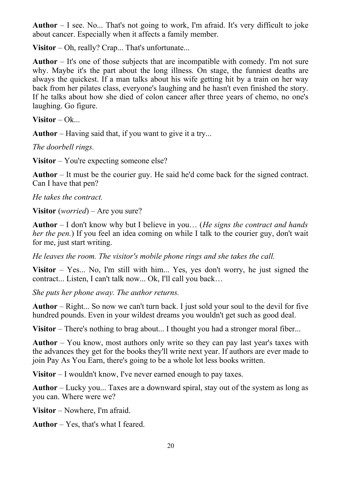**Author** – I see. No... That's not going to work, I'm afraid. It's very difficult to joke about cancer. Especially when it affects a family member.

**Visitor** – Oh, really? Crap... That's unfortunate...

**Author** – It's one of those subjects that are incompatible with comedy. I'm not sure why. Maybe it's the part about the long illness. On stage, the funniest deaths are always the quickest. If a man talks about his wife getting hit by a train on her way back from her pilates class, everyone's laughing and he hasn't even finished the story. If he talks about how she died of colon cancer after three years of chemo, no one's laughing. Go figure.

**Visitor** – Ok...

**Author** – Having said that, if you want to give it a try...

*The doorbell rings.*

**Visitor** – You're expecting someone else?

**Author** – It must be the courier guy. He said he'd come back for the signed contract. Can I have that pen?

*He takes the contract.*

**Visitor** (*worried*) – Are you sure?

**Author** – I don't know why but I believe in you… (*He signs the contract and hands her the pen.*) If you feel an idea coming on while I talk to the courier guy, don't wait for me, just start writing.

*He leaves the room. The visitor's mobile phone rings and she takes the call.*

**Visitor** – Yes... No, I'm still with him... Yes, yes don't worry, he just signed the contract... Listen, I can't talk now... Ok, I'll call you back…

*She puts her phone away. The author returns.*

**Author** – Right... So now we can't turn back. I just sold your soul to the devil for five hundred pounds. Even in your wildest dreams you wouldn't get such as good deal.

**Visitor** – There's nothing to brag about... I thought you had a stronger moral fiber...

**Author** – You know, most authors only write so they can pay last year's taxes with the advances they get for the books they'll write next year. If authors are ever made to join Pay As You Earn, there's going to be a whole lot less books written.

**Visitor** – I wouldn't know, I've never earned enough to pay taxes.

**Author** – Lucky you... Taxes are a downward spiral, stay out of the system as long as you can. Where were we?

**Visitor** – Nowhere, I'm afraid.

**Author** – Yes, that's what I feared.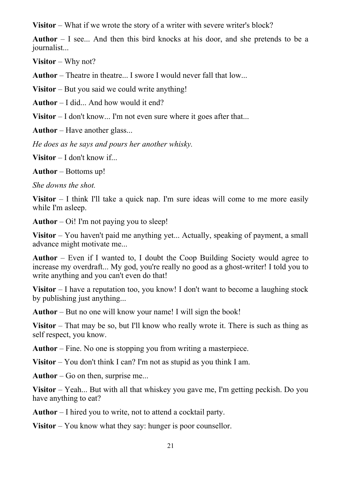**Visitor** – What if we wrote the story of a writer with severe writer's block?

**Author** – I see... And then this bird knocks at his door, and she pretends to be a journalist...

**Visitor** – Why not?

**Author** – Theatre in theatre... I swore I would never fall that low...

**Visitor** – But you said we could write anything!

**Author** – I did... And how would it end?

**Visitor** – I don't know... I'm not even sure where it goes after that...

**Author** – Have another glass...

*He does as he says and pours her another whisky.*

**Visitor** – I don't know if...

**Author** – Bottoms up!

*She downs the shot.*

**Visitor** – I think I'll take a quick nap. I'm sure ideas will come to me more easily while I'm asleep.

**Author** – Oi! I'm not paying you to sleep!

**Visitor** – You haven't paid me anything yet... Actually, speaking of payment, a small advance might motivate me...

**Author** – Even if I wanted to, I doubt the Coop Building Society would agree to increase my overdraft... My god, you're really no good as a ghost-writer! I told you to write anything and you can't even do that!

**Visitor** – I have a reputation too, you know! I don't want to become a laughing stock by publishing just anything...

**Author** – But no one will know your name! I will sign the book!

**Visitor** – That may be so, but I'll know who really wrote it. There is such as thing as self respect, you know.

**Author** – Fine. No one is stopping you from writing a masterpiece.

**Visitor** – You don't think I can? I'm not as stupid as you think I am.

**Author** – Go on then, surprise me...

**Visitor** – Yeah... But with all that whiskey you gave me, I'm getting peckish. Do you have anything to eat?

**Author** – I hired you to write, not to attend a cocktail party.

**Visitor** – You know what they say: hunger is poor counsellor.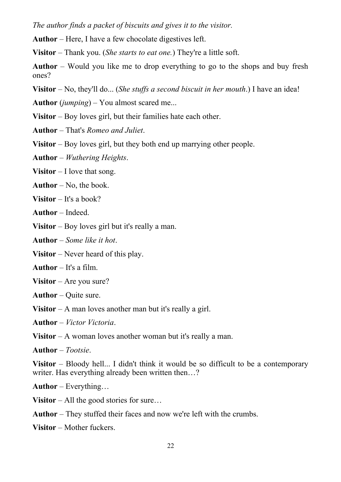*The author finds a packet of biscuits and gives it to the visitor.*

**Author** – Here, I have a few chocolate digestives left.

**Visitor** – Thank you. (*She starts to eat one.*) They're a little soft.

**Author** – Would you like me to drop everything to go to the shops and buy fresh ones?

**Visitor** – No, they'll do... (*She stuffs a second biscuit in her mouth*.) I have an idea!

**Author** (*jumping*) – You almost scared me...

**Visitor** – Boy loves girl, but their families hate each other.

**Author** – That's *Romeo and Juliet*.

**Visitor** – Boy loves girl, but they both end up marrying other people.

**Author** – *Wuthering Heights*.

**Visitor** – I love that song.

**Author** – No, the book.

**Visitor** – It's a book?

**Author** – Indeed.

**Visitor** – Boy loves girl but it's really a man.

**Author** – *Some like it hot*.

**Visitor** – Never heard of this play.

**Author** – It's a film.

**Visitor** – Are you sure?

**Author** – Quite sure.

**Visitor** – A man loves another man but it's really a girl.

**Author** – *Victor Victoria*.

**Visitor** – A woman loves another woman but it's really a man.

**Author** – *Tootsie*.

**Visitor** – Bloody hell... I didn't think it would be so difficult to be a contemporary writer. Has everything already been written then...?

**Author** – Everything…

**Visitor** – All the good stories for sure…

**Author** – They stuffed their faces and now we're left with the crumbs.

**Visitor** – Mother fuckers.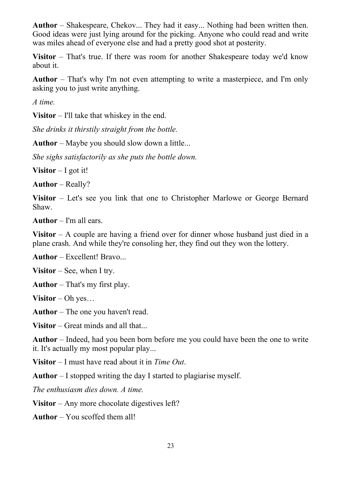**Author** – Shakespeare, Chekov... They had it easy... Nothing had been written then. Good ideas were just lying around for the picking. Anyone who could read and write was miles ahead of everyone else and had a pretty good shot at posterity.

**Visitor** – That's true. If there was room for another Shakespeare today we'd know about it.

**Author** – That's why I'm not even attempting to write a masterpiece, and I'm only asking you to just write anything.

*A time.*

**Visitor** – I'll take that whiskey in the end.

*She drinks it thirstily straight from the bottle.*

**Author** – Maybe you should slow down a little...

*She sighs satisfactorily as she puts the bottle down.*

**Visitor** – I got it!

**Author** – Really?

**Visitor** – Let's see you link that one to Christopher Marlowe or George Bernard Shaw.

**Author** – I'm all ears.

**Visitor** – A couple are having a friend over for dinner whose husband just died in a plane crash. And while they're consoling her, they find out they won the lottery.

**Author** – Excellent! Bravo...

**Visitor** – See, when I try.

**Author** – That's my first play.

**Visitor** – Oh yes…

**Author** – The one you haven't read.

**Visitor** – Great minds and all that...

**Author** – Indeed, had you been born before me you could have been the one to write it. It's actually my most popular play...

**Visitor** – I must have read about it in *Time Out*.

**Author** – I stopped writing the day I started to plagiarise myself.

*The enthusiasm dies down. A time.*

**Visitor** – Any more chocolate digestives left?

**Author** – You scoffed them all!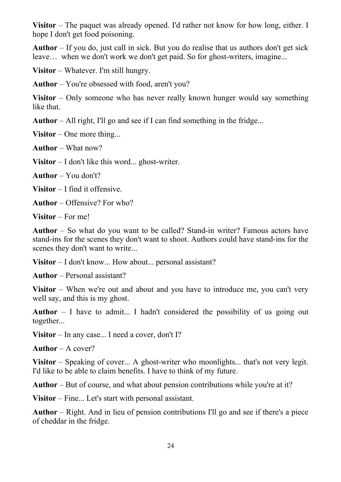**Visitor** – The paquet was already opened. I'd rather not know for how long, either. I hope I don't get food poisoning.

**Author** – If you do, just call in sick. But you do realise that us authors don't get sick leave… when we don't work we don't get paid. So for ghost-writers, imagine...

**Visitor** – Whatever. I'm still hungry.

**Author** – You're obsessed with food, aren't you?

**Visitor** – Only someone who has never really known hunger would say something like that.

**Author** – All right, I'll go and see if I can find something in the fridge...

**Visitor** – One more thing...

**Author** – What now?

**Visitor** – I don't like this word... ghost-writer.

**Author** – You don't?

**Visitor** – I find it offensive.

**Author** – Offensive? For who?

**Visitor** – For me!

**Author** – So what do you want to be called? Stand-in writer? Famous actors have stand-ins for the scenes they don't want to shoot. Authors could have stand-ins for the scenes they don't want to write...

**Visitor** – I don't know... How about... personal assistant?

**Author** – Personal assistant?

**Visitor** – When we're out and about and you have to introduce me, you can't very well say, and this is my ghost.

**Author** – I have to admit... I hadn't considered the possibility of us going out together...

**Visitor** – In any case... I need a cover, don't I?

**Author** – A cover?

**Visitor** – Speaking of cover... A ghost-writer who moonlights... that's not very legit. I'd like to be able to claim benefits. I have to think of my future.

**Author** – But of course, and what about pension contributions while you're at it?

**Visitor** – Fine... Let's start with personal assistant.

**Author** – Right. And in lieu of pension contributions I'll go and see if there's a piece of cheddar in the fridge.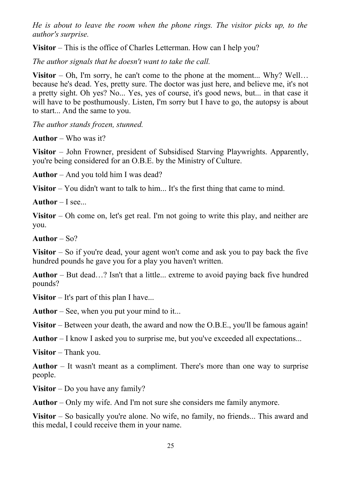*He is about to leave the room when the phone rings. The visitor picks up, to the author's surprise.*

**Visitor** – This is the office of Charles Letterman. How can I help you?

*The author signals that he doesn't want to take the call.*

**Visitor** – Oh, I'm sorry, he can't come to the phone at the moment... Why? Well... because he's dead. Yes, pretty sure. The doctor was just here, and believe me, it's not a pretty sight. Oh yes? No... Yes, yes of course, it's good news, but... in that case it will have to be posthumously. Listen, I'm sorry but I have to go, the autopsy is about to start... And the same to you.

*The author stands frozen, stunned.*

**Author** – Who was it?

**Visitor** – John Frowner, president of Subsidised Starving Playwrights. Apparently, you're being considered for an O.B.E. by the Ministry of Culture.

**Author** – And you told him I was dead?

**Visitor** – You didn't want to talk to him... It's the first thing that came to mind.

**Author** – I see...

**Visitor** – Oh come on, let's get real. I'm not going to write this play, and neither are you.

**Author** – So?

**Visitor** – So if you're dead, your agent won't come and ask you to pay back the five hundred pounds he gave you for a play you haven't written.

**Author** – But dead…? Isn't that a little... extreme to avoid paying back five hundred pounds?

**Visitor** – It's part of this plan I have...

**Author** – See, when you put your mind to it...

**Visitor** – Between your death, the award and now the O.B.E., you'll be famous again!

**Author** – I know I asked you to surprise me, but you've exceeded all expectations...

**Visitor** – Thank you.

**Author** – It wasn't meant as a compliment. There's more than one way to surprise people.

**Visitor** – Do you have any family?

**Author** – Only my wife. And I'm not sure she considers me family anymore.

**Visitor** – So basically you're alone. No wife, no family, no friends... This award and this medal, I could receive them in your name.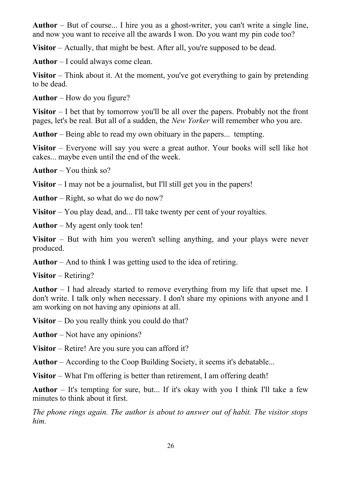**Author** – But of course... I hire you as a ghost-writer, you can't write a single line, and now you want to receive all the awards I won. Do you want my pin code too?

**Visitor** – Actually, that might be best. After all, you're supposed to be dead.

**Author** – I could always come clean.

**Visitor** – Think about it. At the moment, you've got everything to gain by pretending to be dead.

**Author** – How do you figure?

**Visitor** – I bet that by tomorrow you'll be all over the papers. Probably not the front pages, let's be real. But all of a sudden, the *New Yorker* will remember who you are.

**Author** – Being able to read my own obituary in the papers... tempting.

**Visitor** – Everyone will say you were a great author. Your books will sell like hot cakes... maybe even until the end of the week.

**Author** – You think so?

**Visitor** – I may not be a journalist, but I'll still get you in the papers!

**Author** – Right, so what do we do now?

**Visitor** – You play dead, and... I'll take twenty per cent of your royalties.

**Author** – My agent only took ten!

**Visitor** – But with him you weren't selling anything, and your plays were never produced.

**Author** – And to think I was getting used to the idea of retiring.

**Visitor** – Retiring?

**Author** – I had already started to remove everything from my life that upset me. I don't write. I talk only when necessary. I don't share my opinions with anyone and I am working on not having any opinions at all.

**Visitor** – Do you really think you could do that?

**Author** – Not have any opinions?

**Visitor** – Retire! Are you sure you can afford it?

**Author** – According to the Coop Building Society, it seems it's debatable...

**Visitor** – What I'm offering is better than retirement, I am offering death!

**Author** – It's tempting for sure, but... If it's okay with you I think I'll take a few minutes to think about it first.

*The phone rings again. The author is about to answer out of habit. The visitor stops him.*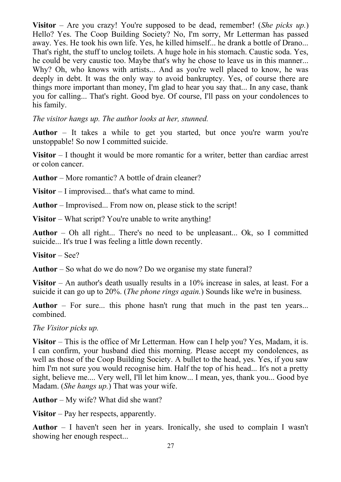**Visitor** – Are you crazy! You're supposed to be dead, remember! (*She picks up.*) Hello? Yes. The Coop Building Society? No, I'm sorry, Mr Letterman has passed away. Yes. He took his own life. Yes, he killed himself... he drank a bottle of Drano... That's right, the stuff to unclog toilets. A huge hole in his stomach. Caustic soda. Yes, he could be very caustic too. Maybe that's why he chose to leave us in this manner... Why? Oh, who knows with artists... And as you're well placed to know, he was deeply in debt. It was the only way to avoid bankruptcy. Yes, of course there are things more important than money, I'm glad to hear you say that... In any case, thank you for calling... That's right. Good bye. Of course, I'll pass on your condolences to his family.

*The visitor hangs up. The author looks at her, stunned.*

**Author** – It takes a while to get you started, but once you're warm you're unstoppable! So now I committed suicide.

**Visitor** – I thought it would be more romantic for a writer, better than cardiac arrest or colon cancer.

**Author** – More romantic? A bottle of drain cleaner?

**Visitor** – I improvised... that's what came to mind.

**Author** – Improvised... From now on, please stick to the script!

**Visitor** – What script? You're unable to write anything!

**Author** – Oh all right... There's no need to be unpleasant... Ok, so I committed suicide... It's true I was feeling a little down recently.

**Visitor** – See?

**Author** – So what do we do now? Do we organise my state funeral?

**Visitor** – An author's death usually results in a 10% increase in sales, at least. For a suicide it can go up to 20%. (*The phone rings again.*) Sounds like we're in business.

**Author** – For sure... this phone hasn't rung that much in the past ten years... combined.

*The Visitor picks up.*

**Visitor** – This is the office of Mr Letterman. How can I help you? Yes, Madam, it is. I can confirm, your husband died this morning. Please accept my condolences, as well as those of the Coop Building Society. A bullet to the head, yes. Yes, if you saw him I'm not sure you would recognise him. Half the top of his head... It's not a pretty sight, believe me.... Very well, I'll let him know... I mean, yes, thank you... Good bye Madam. (*She hangs up.*) That was your wife.

**Author** – My wife? What did she want?

**Visitor** – Pay her respects, apparently.

**Author** – I haven't seen her in years. Ironically, she used to complain I wasn't showing her enough respect...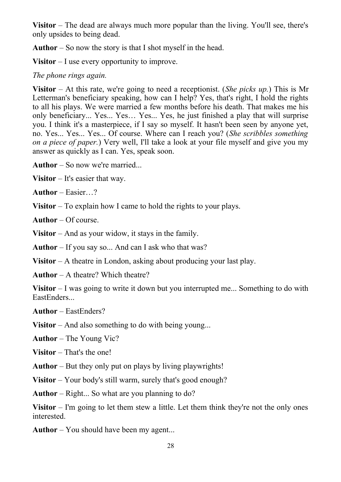**Visitor** – The dead are always much more popular than the living. You'll see, there's only upsides to being dead.

**Author** – So now the story is that I shot myself in the head.

**Visitor** – I use every opportunity to improve.

### *The phone rings again.*

**Visitor** – At this rate, we're going to need a receptionist. (*She picks up.*) This is Mr Letterman's beneficiary speaking, how can I help? Yes, that's right, I hold the rights to all his plays. We were married a few months before his death. That makes me his only beneficiary... Yes... Yes… Yes... Yes, he just finished a play that will surprise you. I think it's a masterpiece, if I say so myself. It hasn't been seen by anyone yet, no. Yes... Yes... Yes... Of course. Where can I reach you? (*She scribbles something on a piece of paper.*) Very well, I'll take a look at your file myself and give you my answer as quickly as I can. Yes, speak soon.

**Author** – So now we're married...

**Visitor** – It's easier that way.

**Author** – Easier…?

**Visitor** – To explain how I came to hold the rights to your plays.

**Author** – Of course.

**Visitor** – And as your widow, it stays in the family.

**Author** – If you say so... And can I ask who that was?

**Visitor** – A theatre in London, asking about producing your last play.

**Author** – A theatre? Which theatre?

**Visitor** – I was going to write it down but you interrupted me... Something to do with EastEnders...

**Author** – EastEnders?

**Visitor** – And also something to do with being young...

**Author** – The Young Vic?

**Visitor** – That's the one!

**Author** – But they only put on plays by living playwrights!

**Visitor** – Your body's still warm, surely that's good enough?

**Author** – Right... So what are you planning to do?

**Visitor** – I'm going to let them stew a little. Let them think they're not the only ones interested.

**Author** – You should have been my agent...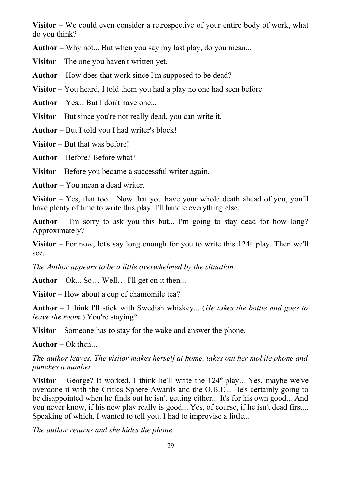**Visitor** – We could even consider a retrospective of your entire body of work, what do you think?

**Author** – Why not... But when you say my last play, do you mean...

**Visitor** – The one you haven't written yet.

**Author** – How does that work since I'm supposed to be dead?

**Visitor** – You heard, I told them you had a play no one had seen before.

**Author** – Yes... But I don't have one...

**Visitor** – But since you're not really dead, you can write it.

**Author** – But I told you I had writer's block!

**Visitor** – But that was before!

**Author** – Before? Before what?

**Visitor** – Before you became a successful writer again.

**Author** – You mean a dead writer.

**Visitor** – Yes, that too... Now that you have your whole death ahead of you, you'll have plenty of time to write this play. I'll handle everything else.

**Author** – I'm sorry to ask you this but... I'm going to stay dead for how long? Approximately?

Visitor – For now, let's say long enough for you to write this  $124<sup>th</sup>$  play. Then we'll see.

*The Author appears to be a little overwhelmed by the situation.*

**Author** – Ok... So… Well… I'll get on it then...

**Visitor** – How about a cup of chamomile tea?

**Author** – I think I'll stick with Swedish whiskey... (*He takes the bottle and goes to leave the room.*) You're staying?

**Visitor** – Someone has to stay for the wake and answer the phone.

**Author** – Ok then...

*The author leaves. The visitor makes herself at home, takes out her mobile phone and punches a number.*

Visitor – George? It worked. I think he'll write the  $124<sup>th</sup>$  play... Yes, maybe we've overdone it with the Critics Sphere Awards and the O.B.E... He's certainly going to be disappointed when he finds out he isn't getting either... It's for his own good... And you never know, if his new play really is good... Yes, of course, if he isn't dead first... Speaking of which, I wanted to tell you. I had to improvise a little...

*The author returns and she hides the phone.*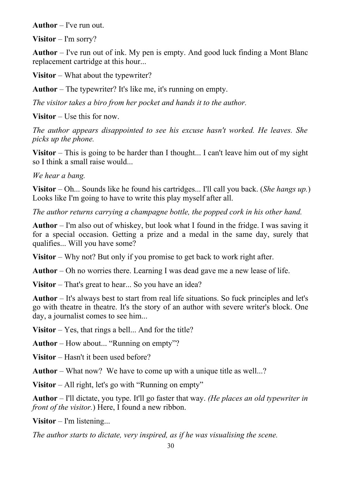**Author** – I've run out.

**Visitor** – I'm sorry?

**Author** – I've run out of ink. My pen is empty. And good luck finding a Mont Blanc replacement cartridge at this hour...

**Visitor** – What about the typewriter?

**Author** – The typewriter? It's like me, it's running on empty.

*The visitor takes a biro from her pocket and hands it to the author.*

**Visitor** – Use this for now.

*The author appears disappointed to see his excuse hasn't worked. He leaves. She picks up the phone.*

**Visitor** – This is going to be harder than I thought... I can't leave him out of my sight so I think a small raise would...

*We hear a bang.*

**Visitor** – Oh... Sounds like he found his cartridges... I'll call you back. (*She hangs up.*) Looks like I'm going to have to write this play myself after all.

*The author returns carrying a champagne bottle, the popped cork in his other hand.*

**Author** – I'm also out of whiskey, but look what I found in the fridge. I was saving it for a special occasion. Getting a prize and a medal in the same day, surely that qualifies... Will you have some?

**Visitor** – Why not? But only if you promise to get back to work right after.

**Author** – Oh no worries there. Learning I was dead gave me a new lease of life.

**Visitor** – That's great to hear... So you have an idea?

**Author** – It's always best to start from real life situations. So fuck principles and let's go with theatre in theatre. It's the story of an author with severe writer's block. One day, a journalist comes to see him...

**Visitor** – Yes, that rings a bell... And for the title?

**Author** – How about... "Running on empty"?

**Visitor** – Hasn't it been used before?

**Author** – What now? We have to come up with a unique title as well...?

**Visitor** – All right, let's go with "Running on empty"

**Author** – I'll dictate, you type. It'll go faster that way. *(He places an old typewriter in front of the visitor.*) Here, I found a new ribbon.

**Visitor** – I'm listening...

*The author starts to dictate, very inspired, as if he was visualising the scene.*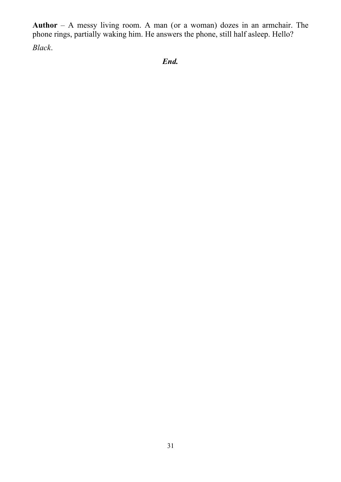**Author** – A messy living room. A man (or a woman) dozes in an armchair. The phone rings, partially waking him. He answers the phone, still half asleep. Hello?

*Black*.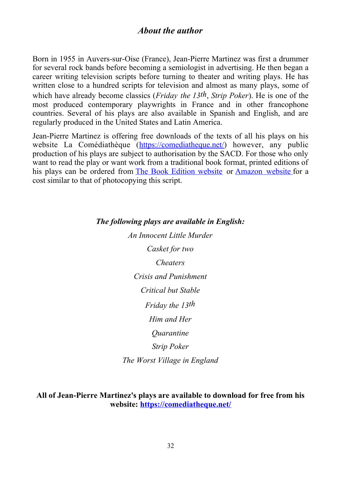## *About the author*

Born in 1955 in Auvers-sur-Oise (France), Jean-Pierre Martinez was first a drummer for several rock bands before becoming a semiologist in advertising. He then began a career writing television scripts before turning to theater and writing plays. He has written close to a hundred scripts for television and almost as many plays, some of which have already become classics (*Friday the 13th*, *Strip Poker*). He is one of the most produced contemporary playwrights in France and in other francophone countries. Several of his plays are also available in Spanish and English, and are regularly produced in the United States and Latin America.

Jean-Pierre Martinez is offering free downloads of the texts of all his plays on his website La Comédiathèque [\(https://comediatheque.net/\)](https://comediatheque.net/) however, any public production of his plays are subject to authorisation by the SACD. For those who only want to read the play or want work from a traditional book format, printed editions of his plays can be ordered from [The Book Edition website](https://www.thebookedition.com/fr/29883_jean-pierre-martinez) or [Amazon website](https://www.amazon.fr/kindle-dbs/entity/author/B077L6T571) for a cost similar to that of photocopying this script.

### *The following plays are available in English:*

*An Innocent Little Murder Casket for two Cheaters Crisis and Punishment Critical but Stable Friday the 13th Him and Her Quarantine Strip Poker*

*The Worst Village in England*

**All of Jean-Pierre Martinez's plays are available to download for free from his website:<https://comediatheque.net/>**